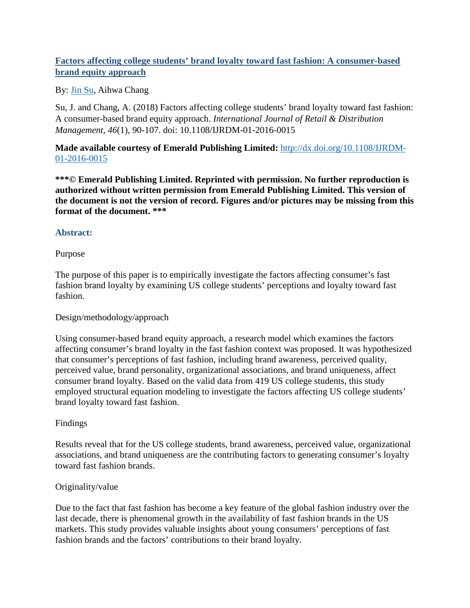# **Factors affecting college students' brand loyalty toward fast fashion: A consumer-based brand equity approach**

## By: [Jin Su,](http://libres.uncg.edu/ir/uncg/clist.aspx?id=13707) Aihwa Chang

Su, J. and Chang, A. (2018) Factors affecting college students' brand loyalty toward fast fashion: A consumer-based brand equity approach. *International Journal of Retail & Distribution Management*, *46*(1), 90-107. doi: 10.1108/IJRDM-01-2016-0015

**Made available courtesy of Emerald Publishing Limited:** [http://dx.doi.org/10.1108/IJRDM-](http://dx.doi.org/10.1108/IJRDM-01-2016-0015)[01-2016-0015](http://dx.doi.org/10.1108/IJRDM-01-2016-0015)

**\*\*\*© Emerald Publishing Limited. Reprinted with permission. No further reproduction is authorized without written permission from Emerald Publishing Limited. This version of the document is not the version of record. Figures and/or pictures may be missing from this format of the document. \*\*\***

## **Abstract:**

## Purpose

The purpose of this paper is to empirically investigate the factors affecting consumer's fast fashion brand loyalty by examining US college students' perceptions and loyalty toward fast fashion.

## Design/methodology/approach

Using consumer-based brand equity approach, a research model which examines the factors affecting consumer's brand loyalty in the fast fashion context was proposed. It was hypothesized that consumer's perceptions of fast fashion, including brand awareness, perceived quality, perceived value, brand personality, organizational associations, and brand uniqueness, affect consumer brand loyalty. Based on the valid data from 419 US college students, this study employed structural equation modeling to investigate the factors affecting US college students' brand loyalty toward fast fashion.

# Findings

Results reveal that for the US college students, brand awareness, perceived value, organizational associations, and brand uniqueness are the contributing factors to generating consumer's loyalty toward fast fashion brands.

## Originality/value

Due to the fact that fast fashion has become a key feature of the global fashion industry over the last decade, there is phenomenal growth in the availability of fast fashion brands in the US markets. This study provides valuable insights about young consumers' perceptions of fast fashion brands and the factors' contributions to their brand loyalty.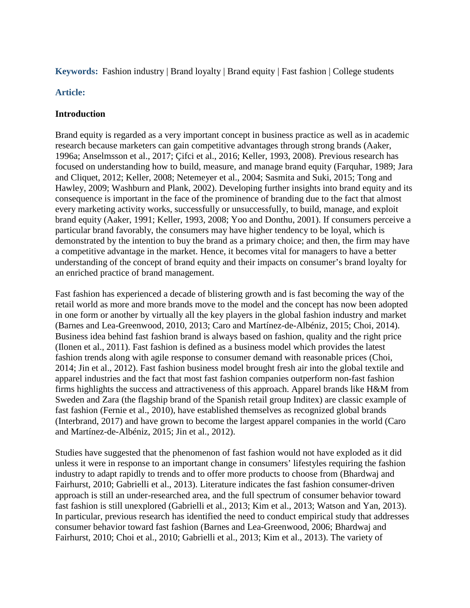### **Keywords:** Fashion industry | Brand loyalty | Brand equity | Fast fashion | College students

#### **Article:**

### **Introduction**

Brand equity is regarded as a very important concept in business practice as well as in academic research because marketers can gain competitive advantages through strong brands (Aaker, 1996a; Anselmsson et al., 2017; Çifci et al., 2016; Keller, 1993, 2008). Previous research has focused on understanding how to build, measure, and manage brand equity (Farquhar, 1989; Jara and Cliquet, 2012; Keller, 2008; Netemeyer et al., 2004; Sasmita and Suki, 2015; Tong and Hawley, 2009; Washburn and Plank, 2002). Developing further insights into brand equity and its consequence is important in the face of the prominence of branding due to the fact that almost every marketing activity works, successfully or unsuccessfully, to build, manage, and exploit brand equity (Aaker, 1991; Keller, 1993, 2008; Yoo and Donthu, 2001). If consumers perceive a particular brand favorably, the consumers may have higher tendency to be loyal, which is demonstrated by the intention to buy the brand as a primary choice; and then, the firm may have a competitive advantage in the market. Hence, it becomes vital for managers to have a better understanding of the concept of brand equity and their impacts on consumer's brand loyalty for an enriched practice of brand management.

Fast fashion has experienced a decade of blistering growth and is fast becoming the way of the retail world as more and more brands move to the model and the concept has now been adopted in one form or another by virtually all the key players in the global fashion industry and market (Barnes and Lea-Greenwood, 2010, 2013; Caro and Martínez-de-Albéniz, 2015; Choi, 2014). Business idea behind fast fashion brand is always based on fashion, quality and the right price (Ilonen et al., 2011). Fast fashion is defined as a business model which provides the latest fashion trends along with agile response to consumer demand with reasonable prices (Choi, 2014; Jin et al., 2012). Fast fashion business model brought fresh air into the global textile and apparel industries and the fact that most fast fashion companies outperform non-fast fashion firms highlights the success and attractiveness of this approach. Apparel brands like H&M from Sweden and Zara (the flagship brand of the Spanish retail group Inditex) are classic example of fast fashion (Fernie et al., 2010), have established themselves as recognized global brands (Interbrand, 2017) and have grown to become the largest apparel companies in the world (Caro and Martínez-de-Albéniz, 2015; Jin et al., 2012).

Studies have suggested that the phenomenon of fast fashion would not have exploded as it did unless it were in response to an important change in consumers' lifestyles requiring the fashion industry to adapt rapidly to trends and to offer more products to choose from (Bhardwaj and Fairhurst, 2010; Gabrielli et al., 2013). Literature indicates the fast fashion consumer-driven approach is still an under-researched area, and the full spectrum of consumer behavior toward fast fashion is still unexplored (Gabrielli et al., 2013; Kim et al., 2013; Watson and Yan, 2013). In particular, previous research has identified the need to conduct empirical study that addresses consumer behavior toward fast fashion (Barnes and Lea-Greenwood, 2006; Bhardwaj and Fairhurst, 2010; Choi et al., 2010; Gabrielli et al., 2013; Kim et al., 2013). The variety of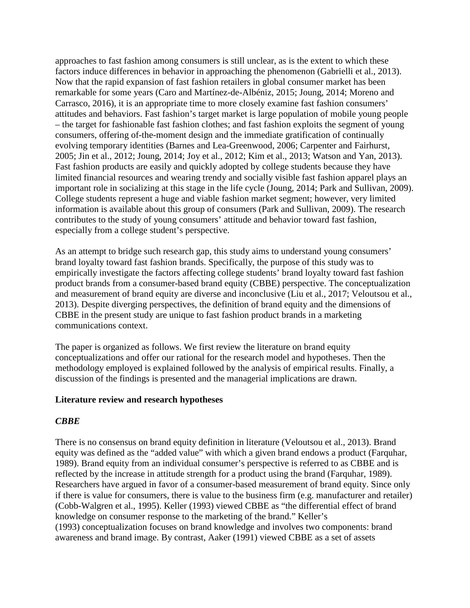approaches to fast fashion among consumers is still unclear, as is the extent to which these factors induce differences in behavior in approaching the phenomenon (Gabrielli et al., 2013). Now that the rapid expansion of fast fashion retailers in global consumer market has been remarkable for some years (Caro and Martínez-de-Albéniz, 2015; Joung, 2014; Moreno and Carrasco, 2016), it is an appropriate time to more closely examine fast fashion consumers' attitudes and behaviors. Fast fashion's target market is large population of mobile young people – the target for fashionable fast fashion clothes; and fast fashion exploits the segment of young consumers, offering of-the-moment design and the immediate gratification of continually evolving temporary identities (Barnes and Lea-Greenwood, 2006; Carpenter and Fairhurst, 2005; Jin et al., 2012; Joung, 2014; Joy et al., 2012; Kim et al., 2013; Watson and Yan, 2013). Fast fashion products are easily and quickly adopted by college students because they have limited financial resources and wearing trendy and socially visible fast fashion apparel plays an important role in socializing at this stage in the life cycle (Joung, 2014; Park and Sullivan, 2009). College students represent a huge and viable fashion market segment; however, very limited information is available about this group of consumers (Park and Sullivan, 2009). The research contributes to the study of young consumers' attitude and behavior toward fast fashion, especially from a college student's perspective.

As an attempt to bridge such research gap, this study aims to understand young consumers' brand loyalty toward fast fashion brands. Specifically, the purpose of this study was to empirically investigate the factors affecting college students' brand loyalty toward fast fashion product brands from a consumer-based brand equity (CBBE) perspective. The conceptualization and measurement of brand equity are diverse and inconclusive (Liu et al., 2017; Veloutsou et al., 2013). Despite diverging perspectives, the definition of brand equity and the dimensions of CBBE in the present study are unique to fast fashion product brands in a marketing communications context.

The paper is organized as follows. We first review the literature on brand equity conceptualizations and offer our rational for the research model and hypotheses. Then the methodology employed is explained followed by the analysis of empirical results. Finally, a discussion of the findings is presented and the managerial implications are drawn.

#### **Literature review and research hypotheses**

## *CBBE*

There is no consensus on brand equity definition in literature (Veloutsou et al., 2013). Brand equity was defined as the "added value" with which a given brand endows a product (Farquhar, 1989). Brand equity from an individual consumer's perspective is referred to as CBBE and is reflected by the increase in attitude strength for a product using the brand (Farquhar, 1989). Researchers have argued in favor of a consumer-based measurement of brand equity. Since only if there is value for consumers, there is value to the business firm (e.g. manufacturer and retailer) (Cobb-Walgren et al., 1995). Keller (1993) viewed CBBE as "the differential effect of brand knowledge on consumer response to the marketing of the brand." Keller's (1993) conceptualization focuses on brand knowledge and involves two components: brand awareness and brand image. By contrast, Aaker (1991) viewed CBBE as a set of assets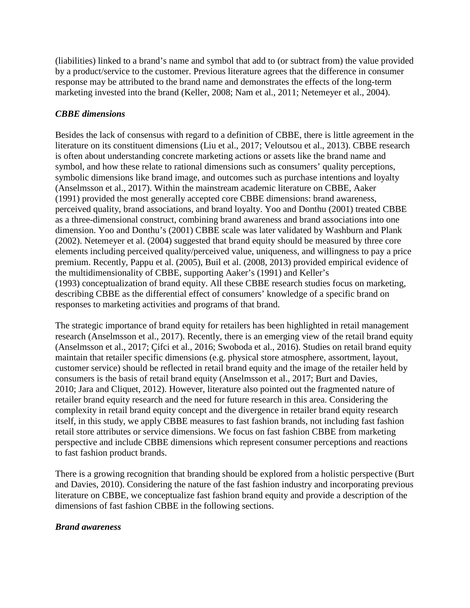(liabilities) linked to a brand's name and symbol that add to (or subtract from) the value provided by a product/service to the customer. Previous literature agrees that the difference in consumer response may be attributed to the brand name and demonstrates the effects of the long-term marketing invested into the brand (Keller, 2008; Nam et al., 2011; Netemeyer et al., 2004).

## *CBBE dimensions*

Besides the lack of consensus with regard to a definition of CBBE, there is little agreement in the literature on its constituent dimensions (Liu et al., 2017; Veloutsou et al., 2013). CBBE research is often about understanding concrete marketing actions or assets like the brand name and symbol, and how these relate to rational dimensions such as consumers' quality perceptions, symbolic dimensions like brand image, and outcomes such as purchase intentions and loyalty (Anselmsson et al., 2017). Within the mainstream academic literature on CBBE, Aaker (1991) provided the most generally accepted core CBBE dimensions: brand awareness, perceived quality, brand associations, and brand loyalty. Yoo and Donthu (2001) treated CBBE as a three-dimensional construct, combining brand awareness and brand associations into one dimension. Yoo and Donthu's (2001) CBBE scale was later validated by Washburn and Plank (2002). Netemeyer et al. (2004) suggested that brand equity should be measured by three core elements including perceived quality/perceived value, uniqueness, and willingness to pay a price premium. Recently, Pappu et al. (2005), Buil et al. (2008, 2013) provided empirical evidence of the multidimensionality of CBBE, supporting Aaker's (1991) and Keller's (1993) conceptualization of brand equity. All these CBBE research studies focus on marketing, describing CBBE as the differential effect of consumers' knowledge of a specific brand on responses to marketing activities and programs of that brand.

The strategic importance of brand equity for retailers has been highlighted in retail management research (Anselmsson et al., 2017). Recently, there is an emerging view of the retail brand equity (Anselmsson et al., 2017; Çifci et al., 2016; Swoboda et al., 2016). Studies on retail brand equity maintain that retailer specific dimensions (e.g. physical store atmosphere, assortment, layout, customer service) should be reflected in retail brand equity and the image of the retailer held by consumers is the basis of retail brand equity (Anselmsson et al., 2017; Burt and Davies, 2010; Jara and Cliquet, 2012). However, literature also pointed out the fragmented nature of retailer brand equity research and the need for future research in this area. Considering the complexity in retail brand equity concept and the divergence in retailer brand equity research itself, in this study, we apply CBBE measures to fast fashion brands, not including fast fashion retail store attributes or service dimensions. We focus on fast fashion CBBE from marketing perspective and include CBBE dimensions which represent consumer perceptions and reactions to fast fashion product brands.

There is a growing recognition that branding should be explored from a holistic perspective (Burt and Davies, 2010). Considering the nature of the fast fashion industry and incorporating previous literature on CBBE, we conceptualize fast fashion brand equity and provide a description of the dimensions of fast fashion CBBE in the following sections.

## *Brand awareness*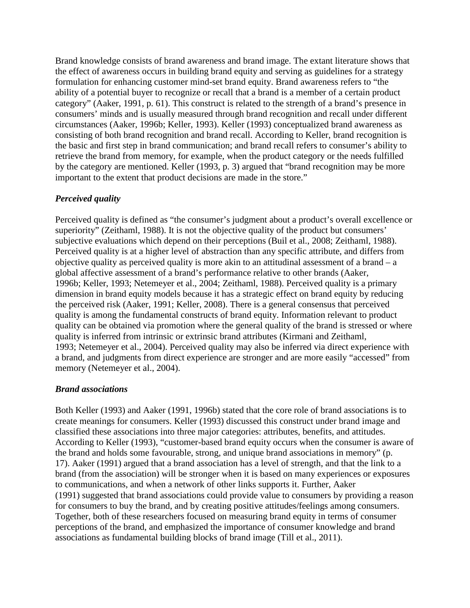Brand knowledge consists of brand awareness and brand image. The extant literature shows that the effect of awareness occurs in building brand equity and serving as guidelines for a strategy formulation for enhancing customer mind-set brand equity. Brand awareness refers to "the ability of a potential buyer to recognize or recall that a brand is a member of a certain product category" (Aaker, 1991, p. 61). This construct is related to the strength of a brand's presence in consumers' minds and is usually measured through brand recognition and recall under different circumstances (Aaker, 1996b; Keller, 1993). Keller (1993) conceptualized brand awareness as consisting of both brand recognition and brand recall. According to Keller, brand recognition is the basic and first step in brand communication; and brand recall refers to consumer's ability to retrieve the brand from memory, for example, when the product category or the needs fulfilled by the category are mentioned. Keller (1993, p. 3) argued that "brand recognition may be more important to the extent that product decisions are made in the store."

## *Perceived quality*

Perceived quality is defined as "the consumer's judgment about a product's overall excellence or superiority" (Zeithaml, 1988). It is not the objective quality of the product but consumers' subjective evaluations which depend on their perceptions (Buil et al., 2008; Zeithaml, 1988). Perceived quality is at a higher level of abstraction than any specific attribute, and differs from objective quality as perceived quality is more akin to an attitudinal assessment of a brand – a global affective assessment of a brand's performance relative to other brands (Aaker, 1996b; Keller, 1993; Netemeyer et al., 2004; Zeithaml, 1988). Perceived quality is a primary dimension in brand equity models because it has a strategic effect on brand equity by reducing the perceived risk (Aaker, 1991; Keller, 2008). There is a general consensus that perceived quality is among the fundamental constructs of brand equity. Information relevant to product quality can be obtained via promotion where the general quality of the brand is stressed or where quality is inferred from intrinsic or extrinsic brand attributes (Kirmani and Zeithaml, 1993; Netemeyer et al., 2004). Perceived quality may also be inferred via direct experience with a brand, and judgments from direct experience are stronger and are more easily "accessed" from memory (Netemeyer et al., 2004).

## *Brand associations*

Both Keller (1993) and Aaker (1991, 1996b) stated that the core role of brand associations is to create meanings for consumers. Keller (1993) discussed this construct under brand image and classified these associations into three major categories: attributes, benefits, and attitudes. According to Keller (1993), "customer-based brand equity occurs when the consumer is aware of the brand and holds some favourable, strong, and unique brand associations in memory" (p. 17). Aaker (1991) argued that a brand association has a level of strength, and that the link to a brand (from the association) will be stronger when it is based on many experiences or exposures to communications, and when a network of other links supports it. Further, Aaker (1991) suggested that brand associations could provide value to consumers by providing a reason for consumers to buy the brand, and by creating positive attitudes/feelings among consumers. Together, both of these researchers focused on measuring brand equity in terms of consumer perceptions of the brand, and emphasized the importance of consumer knowledge and brand associations as fundamental building blocks of brand image (Till et al., 2011).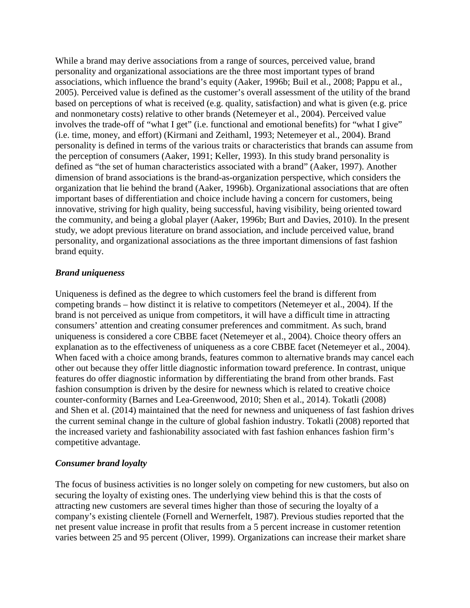While a brand may derive associations from a range of sources, perceived value, brand personality and organizational associations are the three most important types of brand associations, which influence the brand's equity (Aaker, 1996b; Buil et al., 2008; Pappu et al., 2005). Perceived value is defined as the customer's overall assessment of the utility of the brand based on perceptions of what is received (e.g. quality, satisfaction) and what is given (e.g. price and nonmonetary costs) relative to other brands (Netemeyer et al., 2004). Perceived value involves the trade-off of "what I get" (i.e. functional and emotional benefits) for "what I give" (i.e. time, money, and effort) (Kirmani and Zeithaml, 1993; Netemeyer et al., 2004). Brand personality is defined in terms of the various traits or characteristics that brands can assume from the perception of consumers (Aaker, 1991; Keller, 1993). In this study brand personality is defined as "the set of human characteristics associated with a brand" (Aaker, 1997). Another dimension of brand associations is the brand-as-organization perspective, which considers the organization that lie behind the brand (Aaker, 1996b). Organizational associations that are often important bases of differentiation and choice include having a concern for customers, being innovative, striving for high quality, being successful, having visibility, being oriented toward the community, and being a global player (Aaker, 1996b; Burt and Davies, 2010). In the present study, we adopt previous literature on brand association, and include perceived value, brand personality, and organizational associations as the three important dimensions of fast fashion brand equity.

#### *Brand uniqueness*

Uniqueness is defined as the degree to which customers feel the brand is different from competing brands – how distinct it is relative to competitors (Netemeyer et al., 2004). If the brand is not perceived as unique from competitors, it will have a difficult time in attracting consumers' attention and creating consumer preferences and commitment. As such, brand uniqueness is considered a core CBBE facet (Netemeyer et al., 2004). Choice theory offers an explanation as to the effectiveness of uniqueness as a core CBBE facet (Netemeyer et al., 2004). When faced with a choice among brands, features common to alternative brands may cancel each other out because they offer little diagnostic information toward preference. In contrast, unique features do offer diagnostic information by differentiating the brand from other brands. Fast fashion consumption is driven by the desire for newness which is related to creative choice counter-conformity (Barnes and Lea-Greenwood, 2010; Shen et al., 2014). Tokatli (2008) and Shen et al. (2014) maintained that the need for newness and uniqueness of fast fashion drives the current seminal change in the culture of global fashion industry. Tokatli (2008) reported that the increased variety and fashionability associated with fast fashion enhances fashion firm's competitive advantage.

#### *Consumer brand loyalty*

The focus of business activities is no longer solely on competing for new customers, but also on securing the loyalty of existing ones. The underlying view behind this is that the costs of attracting new customers are several times higher than those of securing the loyalty of a company's existing clientele (Fornell and Wernerfelt, 1987). Previous studies reported that the net present value increase in profit that results from a 5 percent increase in customer retention varies between 25 and 95 percent (Oliver, 1999). Organizations can increase their market share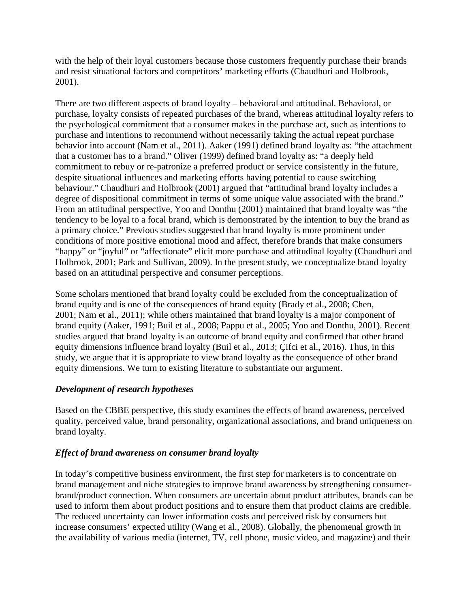with the help of their loyal customers because those customers frequently purchase their brands and resist situational factors and competitors' marketing efforts (Chaudhuri and Holbrook, 2001).

There are two different aspects of brand loyalty – behavioral and attitudinal. Behavioral, or purchase, loyalty consists of repeated purchases of the brand, whereas attitudinal loyalty refers to the psychological commitment that a consumer makes in the purchase act, such as intentions to purchase and intentions to recommend without necessarily taking the actual repeat purchase behavior into account (Nam et al., 2011). Aaker (1991) defined brand loyalty as: "the attachment that a customer has to a brand." Oliver (1999) defined brand loyalty as: "a deeply held commitment to rebuy or re-patronize a preferred product or service consistently in the future, despite situational influences and marketing efforts having potential to cause switching behaviour." Chaudhuri and Holbrook (2001) argued that "attitudinal brand loyalty includes a degree of dispositional commitment in terms of some unique value associated with the brand." From an attitudinal perspective, Yoo and Donthu (2001) maintained that brand loyalty was "the tendency to be loyal to a focal brand, which is demonstrated by the intention to buy the brand as a primary choice." Previous studies suggested that brand loyalty is more prominent under conditions of more positive emotional mood and affect, therefore brands that make consumers "happy" or "joyful" or "affectionate" elicit more purchase and attitudinal loyalty (Chaudhuri and Holbrook, 2001; Park and Sullivan, 2009). In the present study, we conceptualize brand loyalty based on an attitudinal perspective and consumer perceptions.

Some scholars mentioned that brand loyalty could be excluded from the conceptualization of brand equity and is one of the consequences of brand equity (Brady et al., 2008; Chen, 2001; Nam et al., 2011); while others maintained that brand loyalty is a major component of brand equity (Aaker, 1991; Buil et al., 2008; Pappu et al., 2005; Yoo and Donthu, 2001). Recent studies argued that brand loyalty is an outcome of brand equity and confirmed that other brand equity dimensions influence brand loyalty (Buil et al., 2013; Çifci et al., 2016). Thus, in this study, we argue that it is appropriate to view brand loyalty as the consequence of other brand equity dimensions. We turn to existing literature to substantiate our argument.

## *Development of research hypotheses*

Based on the CBBE perspective, this study examines the effects of brand awareness, perceived quality, perceived value, brand personality, organizational associations, and brand uniqueness on brand loyalty.

## *Effect of brand awareness on consumer brand loyalty*

In today's competitive business environment, the first step for marketers is to concentrate on brand management and niche strategies to improve brand awareness by strengthening consumerbrand/product connection. When consumers are uncertain about product attributes, brands can be used to inform them about product positions and to ensure them that product claims are credible. The reduced uncertainty can lower information costs and perceived risk by consumers but increase consumers' expected utility (Wang et al., 2008). Globally, the phenomenal growth in the availability of various media (internet, TV, cell phone, music video, and magazine) and their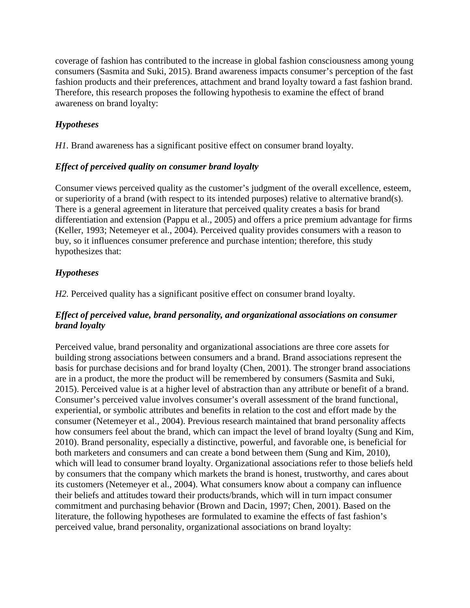coverage of fashion has contributed to the increase in global fashion consciousness among young consumers (Sasmita and Suki, 2015). Brand awareness impacts consumer's perception of the fast fashion products and their preferences, attachment and brand loyalty toward a fast fashion brand. Therefore, this research proposes the following hypothesis to examine the effect of brand awareness on brand loyalty:

# *Hypotheses*

*H1.* Brand awareness has a significant positive effect on consumer brand loyalty.

## *Effect of perceived quality on consumer brand loyalty*

Consumer views perceived quality as the customer's judgment of the overall excellence, esteem, or superiority of a brand (with respect to its intended purposes) relative to alternative brand(s). There is a general agreement in literature that perceived quality creates a basis for brand differentiation and extension (Pappu et al., 2005) and offers a price premium advantage for firms (Keller, 1993; Netemeyer et al., 2004). Perceived quality provides consumers with a reason to buy, so it influences consumer preference and purchase intention; therefore, this study hypothesizes that:

# *Hypotheses*

*H2.* Perceived quality has a significant positive effect on consumer brand loyalty.

## *Effect of perceived value, brand personality, and organizational associations on consumer brand loyalty*

Perceived value, brand personality and organizational associations are three core assets for building strong associations between consumers and a brand. Brand associations represent the basis for purchase decisions and for brand loyalty (Chen, 2001). The stronger brand associations are in a product, the more the product will be remembered by consumers (Sasmita and Suki, 2015). Perceived value is at a higher level of abstraction than any attribute or benefit of a brand. Consumer's perceived value involves consumer's overall assessment of the brand functional, experiential, or symbolic attributes and benefits in relation to the cost and effort made by the consumer (Netemeyer et al., 2004). Previous research maintained that brand personality affects how consumers feel about the brand, which can impact the level of brand loyalty (Sung and Kim, 2010). Brand personality, especially a distinctive, powerful, and favorable one, is beneficial for both marketers and consumers and can create a bond between them (Sung and Kim, 2010), which will lead to consumer brand loyalty. Organizational associations refer to those beliefs held by consumers that the company which markets the brand is honest, trustworthy, and cares about its customers (Netemeyer et al., 2004). What consumers know about a company can influence their beliefs and attitudes toward their products/brands, which will in turn impact consumer commitment and purchasing behavior (Brown and Dacin, 1997; Chen, 2001). Based on the literature, the following hypotheses are formulated to examine the effects of fast fashion's perceived value, brand personality, organizational associations on brand loyalty: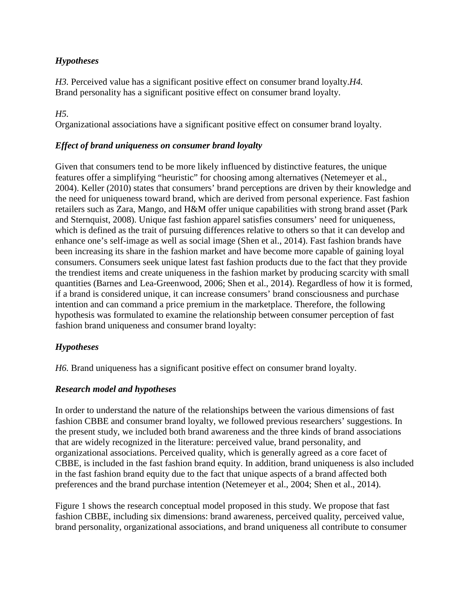## *Hypotheses*

*H3.* Perceived value has a significant positive effect on consumer brand loyalty.*H4.* Brand personality has a significant positive effect on consumer brand loyalty.

## *H5.*

Organizational associations have a significant positive effect on consumer brand loyalty.

## *Effect of brand uniqueness on consumer brand loyalty*

Given that consumers tend to be more likely influenced by distinctive features, the unique features offer a simplifying "heuristic" for choosing among alternatives (Netemeyer et al., 2004). Keller (2010) states that consumers' brand perceptions are driven by their knowledge and the need for uniqueness toward brand, which are derived from personal experience. Fast fashion retailers such as Zara, Mango, and H&M offer unique capabilities with strong brand asset (Park and Sternquist, 2008). Unique fast fashion apparel satisfies consumers' need for uniqueness, which is defined as the trait of pursuing differences relative to others so that it can develop and enhance one's self-image as well as social image (Shen et al., 2014). Fast fashion brands have been increasing its share in the fashion market and have become more capable of gaining loyal consumers. Consumers seek unique latest fast fashion products due to the fact that they provide the trendiest items and create uniqueness in the fashion market by producing scarcity with small quantities (Barnes and Lea-Greenwood, 2006; Shen et al., 2014). Regardless of how it is formed, if a brand is considered unique, it can increase consumers' brand consciousness and purchase intention and can command a price premium in the marketplace. Therefore, the following hypothesis was formulated to examine the relationship between consumer perception of fast fashion brand uniqueness and consumer brand loyalty:

# *Hypotheses*

*H6.* Brand uniqueness has a significant positive effect on consumer brand loyalty.

## *Research model and hypotheses*

In order to understand the nature of the relationships between the various dimensions of fast fashion CBBE and consumer brand loyalty, we followed previous researchers' suggestions. In the present study, we included both brand awareness and the three kinds of brand associations that are widely recognized in the literature: perceived value, brand personality, and organizational associations. Perceived quality, which is generally agreed as a core facet of CBBE, is included in the fast fashion brand equity. In addition, brand uniqueness is also included in the fast fashion brand equity due to the fact that unique aspects of a brand affected both preferences and the brand purchase intention (Netemeyer et al., 2004; Shen et al., 2014).

Figure 1 shows the research conceptual model proposed in this study. We propose that fast fashion CBBE, including six dimensions: brand awareness, perceived quality, perceived value, brand personality, organizational associations, and brand uniqueness all contribute to consumer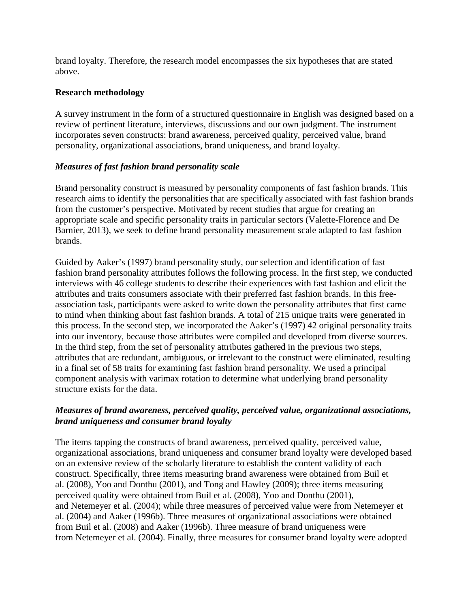brand loyalty. Therefore, the research model encompasses the six hypotheses that are stated above.

### **Research methodology**

A survey instrument in the form of a structured questionnaire in English was designed based on a review of pertinent literature, interviews, discussions and our own judgment. The instrument incorporates seven constructs: brand awareness, perceived quality, perceived value, brand personality, organizational associations, brand uniqueness, and brand loyalty.

### *Measures of fast fashion brand personality scale*

Brand personality construct is measured by personality components of fast fashion brands. This research aims to identify the personalities that are specifically associated with fast fashion brands from the customer's perspective. Motivated by recent studies that argue for creating an appropriate scale and specific personality traits in particular sectors (Valette-Florence and De Barnier, 2013), we seek to define brand personality measurement scale adapted to fast fashion brands.

Guided by Aaker's (1997) brand personality study, our selection and identification of fast fashion brand personality attributes follows the following process. In the first step, we conducted interviews with 46 college students to describe their experiences with fast fashion and elicit the attributes and traits consumers associate with their preferred fast fashion brands. In this freeassociation task, participants were asked to write down the personality attributes that first came to mind when thinking about fast fashion brands. A total of 215 unique traits were generated in this process. In the second step, we incorporated the Aaker's (1997) 42 original personality traits into our inventory, because those attributes were compiled and developed from diverse sources. In the third step, from the set of personality attributes gathered in the previous two steps, attributes that are redundant, ambiguous, or irrelevant to the construct were eliminated, resulting in a final set of 58 traits for examining fast fashion brand personality. We used a principal component analysis with varimax rotation to determine what underlying brand personality structure exists for the data.

### *Measures of brand awareness, perceived quality, perceived value, organizational associations, brand uniqueness and consumer brand loyalty*

The items tapping the constructs of brand awareness, perceived quality, perceived value, organizational associations, brand uniqueness and consumer brand loyalty were developed based on an extensive review of the scholarly literature to establish the content validity of each construct. Specifically, three items measuring brand awareness were obtained from Buil et al. (2008), Yoo and Donthu (2001), and Tong and Hawley (2009); three items measuring perceived quality were obtained from Buil et al. (2008), Yoo and Donthu (2001), and Netemeyer et al. (2004); while three measures of perceived value were from Netemeyer et al. (2004) and Aaker (1996b). Three measures of organizational associations were obtained from Buil et al. (2008) and Aaker (1996b). Three measure of brand uniqueness were from Netemeyer et al. (2004). Finally, three measures for consumer brand loyalty were adopted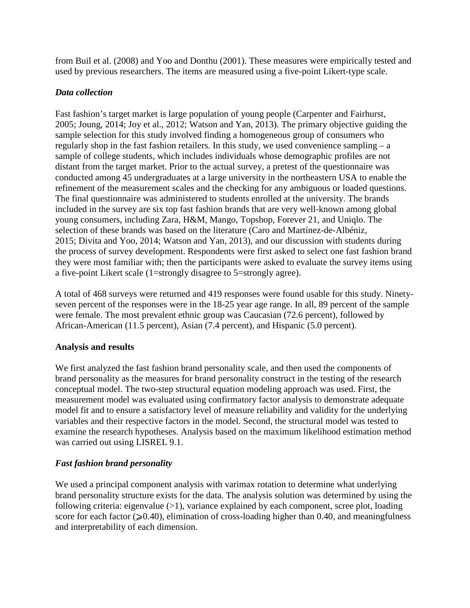from Buil et al. (2008) and Yoo and Donthu (2001). These measures were empirically tested and used by previous researchers. The items are measured using a five-point Likert-type scale.

## *Data collection*

Fast fashion's target market is large population of young people (Carpenter and Fairhurst, 2005; Joung, 2014; Joy et al., 2012; Watson and Yan, 2013). The primary objective guiding the sample selection for this study involved finding a homogeneous group of consumers who regularly shop in the fast fashion retailers. In this study, we used convenience sampling – a sample of college students, which includes individuals whose demographic profiles are not distant from the target market. Prior to the actual survey, a pretest of the questionnaire was conducted among 45 undergraduates at a large university in the northeastern USA to enable the refinement of the measurement scales and the checking for any ambiguous or loaded questions. The final questionnaire was administered to students enrolled at the university. The brands included in the survey are six top fast fashion brands that are very well-known among global young consumers, including Zara, H&M, Mango, Topshop, Forever 21, and Uniqlo. The selection of these brands was based on the literature (Caro and Martínez-de-Albéniz, 2015; Divita and Yoo, 2014; Watson and Yan, 2013), and our discussion with students during the process of survey development. Respondents were first asked to select one fast fashion brand they were most familiar with; then the participants were asked to evaluate the survey items using a five-point Likert scale (1=strongly disagree to 5=strongly agree).

A total of 468 surveys were returned and 419 responses were found usable for this study. Ninetyseven percent of the responses were in the 18-25 year age range. In all, 89 percent of the sample were female. The most prevalent ethnic group was Caucasian (72.6 percent), followed by African-American (11.5 percent), Asian (7.4 percent), and Hispanic (5.0 percent).

## **Analysis and results**

We first analyzed the fast fashion brand personality scale, and then used the components of brand personality as the measures for brand personality construct in the testing of the research conceptual model. The two-step structural equation modeling approach was used. First, the measurement model was evaluated using confirmatory factor analysis to demonstrate adequate model fit and to ensure a satisfactory level of measure reliability and validity for the underlying variables and their respective factors in the model. Second, the structural model was tested to examine the research hypotheses. Analysis based on the maximum likelihood estimation method was carried out using LISREL 9.1.

# *Fast fashion brand personality*

We used a principal component analysis with varimax rotation to determine what underlying brand personality structure exists for the data. The analysis solution was determined by using the following criteria: eigenvalue  $(>1)$ , variance explained by each component, scree plot, loading score for each factor ( $\geq 0.40$ ), elimination of cross-loading higher than 0.40, and meaningfulness and interpretability of each dimension.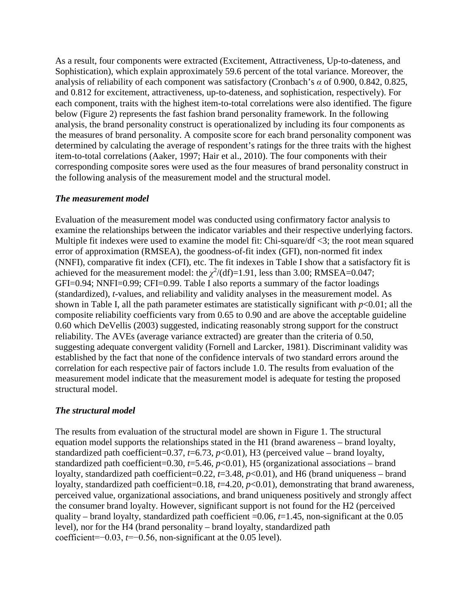As a result, four components were extracted (Excitement, Attractiveness, Up-to-dateness, and Sophistication), which explain approximately 59.6 percent of the total variance. Moreover, the analysis of reliability of each component was satisfactory (Cronbach's *α* of 0.900, 0.842, 0.825, and 0.812 for excitement, attractiveness, up-to-dateness, and sophistication, respectively). For each component, traits with the highest item-to-total correlations were also identified. The figure below (Figure 2) represents the fast fashion brand personality framework. In the following analysis, the brand personality construct is operationalized by including its four components as the measures of brand personality. A composite score for each brand personality component was determined by calculating the average of respondent's ratings for the three traits with the highest item-to-total correlations (Aaker, 1997; Hair et al., 2010). The four components with their corresponding composite sores were used as the four measures of brand personality construct in the following analysis of the measurement model and the structural model.

#### *The measurement model*

Evaluation of the measurement model was conducted using confirmatory factor analysis to examine the relationships between the indicator variables and their respective underlying factors. Multiple fit indexes were used to examine the model fit: Chi-square/df <3; the root mean squared error of approximation (RMSEA), the goodness-of-fit index (GFI), non-normed fit index (NNFI), comparative fit index (CFI), etc. The fit indexes in Table I show that a satisfactory fit is achieved for the measurement model: the  $\chi^2$ /(df)=1.91, less than 3.00; RMSEA=0.047; GFI=0.94; NNFI=0.99; CFI=0.99. Table I also reports a summary of the factor loadings (standardized), *t*-values, and reliability and validity analyses in the measurement model. As shown in Table I, all the path parameter estimates are statistically significant with  $p<0.01$ ; all the composite reliability coefficients vary from 0.65 to 0.90 and are above the acceptable guideline 0.60 which DeVellis (2003) suggested, indicating reasonably strong support for the construct reliability. The AVEs (average variance extracted) are greater than the criteria of 0.50, suggesting adequate convergent validity (Fornell and Larcker, 1981). Discriminant validity was established by the fact that none of the confidence intervals of two standard errors around the correlation for each respective pair of factors include 1.0. The results from evaluation of the measurement model indicate that the measurement model is adequate for testing the proposed structural model.

#### *The structural model*

The results from evaluation of the structural model are shown in Figure 1. The structural equation model supports the relationships stated in the H1 (brand awareness – brand loyalty, standardized path coefficient=0.37,  $t=6.73$ ,  $p<0.01$ ), H3 (perceived value – brand loyalty, standardized path coefficient=0.30, *t*=5.46, *p*<0.01), H5 (organizational associations – brand loyalty, standardized path coefficient=0.22, *t*=3.48, *p*<0.01), and H6 (brand uniqueness – brand loyalty, standardized path coefficient=0.18, *t*=4.20, *p*<0.01), demonstrating that brand awareness, perceived value, organizational associations, and brand uniqueness positively and strongly affect the consumer brand loyalty. However, significant support is not found for the H2 (perceived quality – brand loyalty, standardized path coefficient =0.06, *t*=1.45, non-significant at the 0.05 level), nor for the H4 (brand personality – brand loyalty, standardized path coefficient=−0.03, *t*=−0.56, non-significant at the 0.05 level).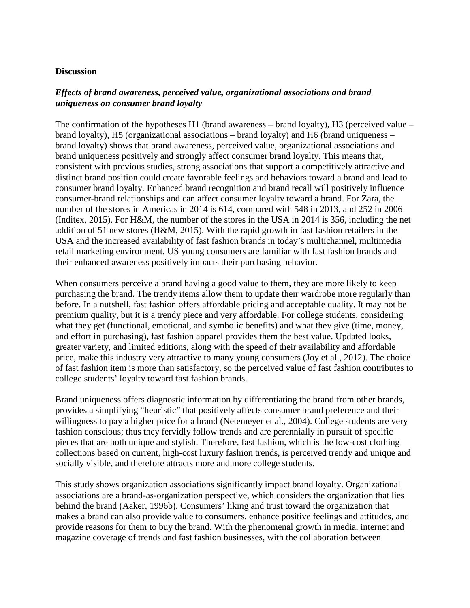#### **Discussion**

### *Effects of brand awareness, perceived value, organizational associations and brand uniqueness on consumer brand loyalty*

The confirmation of the hypotheses H1 (brand awareness – brand loyalty), H3 (perceived value – brand loyalty), H5 (organizational associations – brand loyalty) and H6 (brand uniqueness – brand loyalty) shows that brand awareness, perceived value, organizational associations and brand uniqueness positively and strongly affect consumer brand loyalty. This means that, consistent with previous studies, strong associations that support a competitively attractive and distinct brand position could create favorable feelings and behaviors toward a brand and lead to consumer brand loyalty. Enhanced brand recognition and brand recall will positively influence consumer-brand relationships and can affect consumer loyalty toward a brand. For Zara, the number of the stores in Americas in 2014 is 614, compared with 548 in 2013, and 252 in 2006 (Inditex, 2015). For H&M, the number of the stores in the USA in 2014 is 356, including the net addition of 51 new stores (H&M, 2015). With the rapid growth in fast fashion retailers in the USA and the increased availability of fast fashion brands in today's multichannel, multimedia retail marketing environment, US young consumers are familiar with fast fashion brands and their enhanced awareness positively impacts their purchasing behavior.

When consumers perceive a brand having a good value to them, they are more likely to keep purchasing the brand. The trendy items allow them to update their wardrobe more regularly than before. In a nutshell, fast fashion offers affordable pricing and acceptable quality. It may not be premium quality, but it is a trendy piece and very affordable. For college students, considering what they get (functional, emotional, and symbolic benefits) and what they give (time, money, and effort in purchasing), fast fashion apparel provides them the best value. Updated looks, greater variety, and limited editions, along with the speed of their availability and affordable price, make this industry very attractive to many young consumers (Joy et al., 2012). The choice of fast fashion item is more than satisfactory, so the perceived value of fast fashion contributes to college students' loyalty toward fast fashion brands.

Brand uniqueness offers diagnostic information by differentiating the brand from other brands, provides a simplifying "heuristic" that positively affects consumer brand preference and their willingness to pay a higher price for a brand (Netemeyer et al., 2004). College students are very fashion conscious; thus they fervidly follow trends and are perennially in pursuit of specific pieces that are both unique and stylish. Therefore, fast fashion, which is the low-cost clothing collections based on current, high-cost luxury fashion trends, is perceived trendy and unique and socially visible, and therefore attracts more and more college students.

This study shows organization associations significantly impact brand loyalty. Organizational associations are a brand-as-organization perspective, which considers the organization that lies behind the brand (Aaker, 1996b). Consumers' liking and trust toward the organization that makes a brand can also provide value to consumers, enhance positive feelings and attitudes, and provide reasons for them to buy the brand. With the phenomenal growth in media, internet and magazine coverage of trends and fast fashion businesses, with the collaboration between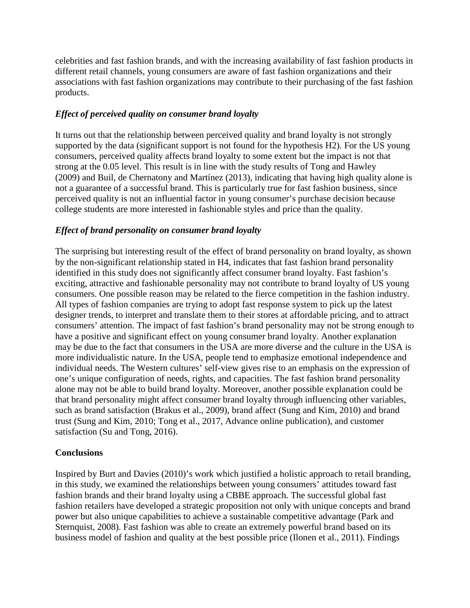celebrities and fast fashion brands, and with the increasing availability of fast fashion products in different retail channels, young consumers are aware of fast fashion organizations and their associations with fast fashion organizations may contribute to their purchasing of the fast fashion products.

## *Effect of perceived quality on consumer brand loyalty*

It turns out that the relationship between perceived quality and brand loyalty is not strongly supported by the data (significant support is not found for the hypothesis H2). For the US young consumers, perceived quality affects brand loyalty to some extent but the impact is not that strong at the 0.05 level. This result is in line with the study results of Tong and Hawley (2009) and Buil, de Chernatony and Martínez (2013), indicating that having high quality alone is not a guarantee of a successful brand. This is particularly true for fast fashion business, since perceived quality is not an influential factor in young consumer's purchase decision because college students are more interested in fashionable styles and price than the quality.

## *Effect of brand personality on consumer brand loyalty*

The surprising but interesting result of the effect of brand personality on brand loyalty, as shown by the non-significant relationship stated in H4, indicates that fast fashion brand personality identified in this study does not significantly affect consumer brand loyalty. Fast fashion's exciting, attractive and fashionable personality may not contribute to brand loyalty of US young consumers. One possible reason may be related to the fierce competition in the fashion industry. All types of fashion companies are trying to adopt fast response system to pick up the latest designer trends, to interpret and translate them to their stores at affordable pricing, and to attract consumers' attention. The impact of fast fashion's brand personality may not be strong enough to have a positive and significant effect on young consumer brand loyalty. Another explanation may be due to the fact that consumers in the USA are more diverse and the culture in the USA is more individualistic nature. In the USA, people tend to emphasize emotional independence and individual needs. The Western cultures' self-view gives rise to an emphasis on the expression of one's unique configuration of needs, rights, and capacities. The fast fashion brand personality alone may not be able to build brand loyalty. Moreover, another possible explanation could be that brand personality might affect consumer brand loyalty through influencing other variables, such as brand satisfaction (Brakus et al., 2009), brand affect (Sung and Kim, 2010) and brand trust (Sung and Kim, 2010; Tong et al., 2017, Advance online publication), and customer satisfaction (Su and Tong, 2016).

## **Conclusions**

Inspired by Burt and Davies (2010)'s work which justified a holistic approach to retail branding, in this study, we examined the relationships between young consumers' attitudes toward fast fashion brands and their brand loyalty using a CBBE approach. The successful global fast fashion retailers have developed a strategic proposition not only with unique concepts and brand power but also unique capabilities to achieve a sustainable competitive advantage (Park and Sternquist, 2008). Fast fashion was able to create an extremely powerful brand based on its business model of fashion and quality at the best possible price (Ilonen et al., 2011). Findings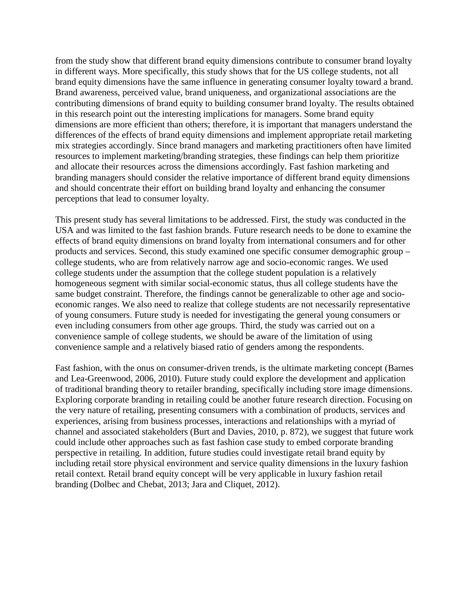from the study show that different brand equity dimensions contribute to consumer brand loyalty in different ways. More specifically, this study shows that for the US college students, not all brand equity dimensions have the same influence in generating consumer loyalty toward a brand. Brand awareness, perceived value, brand uniqueness, and organizational associations are the contributing dimensions of brand equity to building consumer brand loyalty. The results obtained in this research point out the interesting implications for managers. Some brand equity dimensions are more efficient than others; therefore, it is important that managers understand the differences of the effects of brand equity dimensions and implement appropriate retail marketing mix strategies accordingly. Since brand managers and marketing practitioners often have limited resources to implement marketing/branding strategies, these findings can help them prioritize and allocate their resources across the dimensions accordingly. Fast fashion marketing and branding managers should consider the relative importance of different brand equity dimensions and should concentrate their effort on building brand loyalty and enhancing the consumer perceptions that lead to consumer loyalty.

This present study has several limitations to be addressed. First, the study was conducted in the USA and was limited to the fast fashion brands. Future research needs to be done to examine the effects of brand equity dimensions on brand loyalty from international consumers and for other products and services. Second, this study examined one specific consumer demographic group – college students, who are from relatively narrow age and socio-economic ranges. We used college students under the assumption that the college student population is a relatively homogeneous segment with similar social-economic status, thus all college students have the same budget constraint. Therefore, the findings cannot be generalizable to other age and socioeconomic ranges. We also need to realize that college students are not necessarily representative of young consumers. Future study is needed for investigating the general young consumers or even including consumers from other age groups. Third, the study was carried out on a convenience sample of college students, we should be aware of the limitation of using convenience sample and a relatively biased ratio of genders among the respondents.

Fast fashion, with the onus on consumer-driven trends, is the ultimate marketing concept (Barnes and Lea-Greenwood, 2006, 2010). Future study could explore the development and application of traditional branding theory to retailer branding, specifically including store image dimensions. Exploring corporate branding in retailing could be another future research direction. Focusing on the very nature of retailing, presenting consumers with a combination of products, services and experiences, arising from business processes, interactions and relationships with a myriad of channel and associated stakeholders (Burt and Davies, 2010, p. 872), we suggest that future work could include other approaches such as fast fashion case study to embed corporate branding perspective in retailing. In addition, future studies could investigate retail brand equity by including retail store physical environment and service quality dimensions in the luxury fashion retail context. Retail brand equity concept will be very applicable in luxury fashion retail branding (Dolbec and Chebat, 2013; Jara and Cliquet, 2012).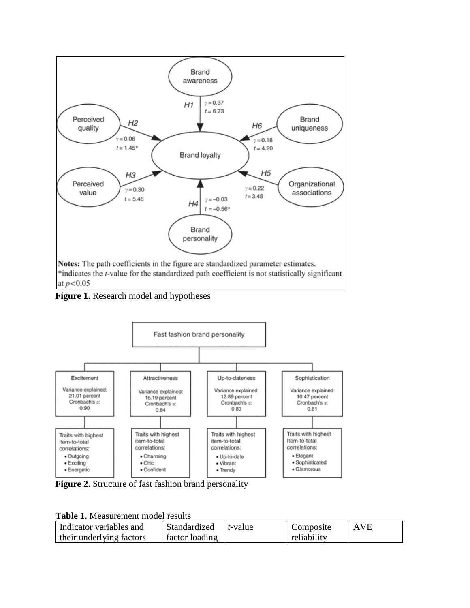

**Figure 1.** Research model and hypotheses



**Figure 2.** Structure of fast fashion brand personality

|  | Table 1. Measurement model results |
|--|------------------------------------|
|--|------------------------------------|

| Indicator variables and  | Standardized   | t-value | Composite   | AVE |
|--------------------------|----------------|---------|-------------|-----|
| their underlying factors | factor loading |         | reliability |     |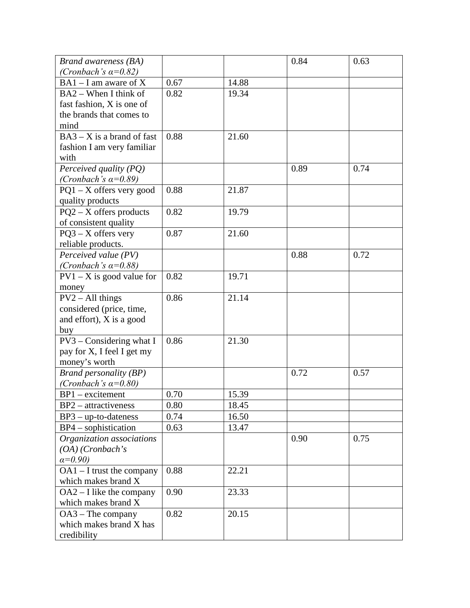| Brand awareness (BA)                                                                                                                                                                                                                                                                                                                                                                                                                                                                            |                                                              |                                                                      | 0.84         | 0.63         |
|-------------------------------------------------------------------------------------------------------------------------------------------------------------------------------------------------------------------------------------------------------------------------------------------------------------------------------------------------------------------------------------------------------------------------------------------------------------------------------------------------|--------------------------------------------------------------|----------------------------------------------------------------------|--------------|--------------|
| (Cronbach's $\alpha=0.82$ )                                                                                                                                                                                                                                                                                                                                                                                                                                                                     |                                                              |                                                                      |              |              |
| $BA1 - I$ am aware of X                                                                                                                                                                                                                                                                                                                                                                                                                                                                         | 0.67                                                         | 14.88                                                                |              |              |
| BA2 – When I think of                                                                                                                                                                                                                                                                                                                                                                                                                                                                           | 0.82                                                         | 19.34                                                                |              |              |
| fast fashion, X is one of                                                                                                                                                                                                                                                                                                                                                                                                                                                                       |                                                              |                                                                      |              |              |
| the brands that comes to                                                                                                                                                                                                                                                                                                                                                                                                                                                                        |                                                              |                                                                      |              |              |
| mind                                                                                                                                                                                                                                                                                                                                                                                                                                                                                            |                                                              |                                                                      |              |              |
| $BA3 - X$ is a brand of fast                                                                                                                                                                                                                                                                                                                                                                                                                                                                    | 0.88                                                         | 21.60                                                                |              |              |
| fashion I am very familiar                                                                                                                                                                                                                                                                                                                                                                                                                                                                      |                                                              |                                                                      |              |              |
| with                                                                                                                                                                                                                                                                                                                                                                                                                                                                                            |                                                              |                                                                      |              |              |
| Perceived quality (PQ)                                                                                                                                                                                                                                                                                                                                                                                                                                                                          |                                                              |                                                                      | 0.89         | 0.74         |
| (Cronbach's $\alpha=0.89$ )                                                                                                                                                                                                                                                                                                                                                                                                                                                                     |                                                              |                                                                      |              |              |
| $PQ1 - X$ offers very good                                                                                                                                                                                                                                                                                                                                                                                                                                                                      | 0.88                                                         | 21.87                                                                |              |              |
| quality products                                                                                                                                                                                                                                                                                                                                                                                                                                                                                |                                                              |                                                                      |              |              |
| $PQ2 - X$ offers products                                                                                                                                                                                                                                                                                                                                                                                                                                                                       | 0.82                                                         | 19.79                                                                |              |              |
| of consistent quality                                                                                                                                                                                                                                                                                                                                                                                                                                                                           |                                                              |                                                                      |              |              |
| $PQ3 - X$ offers very                                                                                                                                                                                                                                                                                                                                                                                                                                                                           | 0.87                                                         | 21.60                                                                |              |              |
| reliable products.                                                                                                                                                                                                                                                                                                                                                                                                                                                                              |                                                              |                                                                      |              |              |
| Perceived value (PV)                                                                                                                                                                                                                                                                                                                                                                                                                                                                            |                                                              |                                                                      | 0.88         | 0.72         |
| (Cronbach's $\alpha=0.88$ )                                                                                                                                                                                                                                                                                                                                                                                                                                                                     |                                                              |                                                                      |              |              |
| $PV1 - X$ is good value for                                                                                                                                                                                                                                                                                                                                                                                                                                                                     | 0.82                                                         | 19.71                                                                |              |              |
| money                                                                                                                                                                                                                                                                                                                                                                                                                                                                                           |                                                              |                                                                      |              |              |
| $PV2 - All things$                                                                                                                                                                                                                                                                                                                                                                                                                                                                              | 0.86                                                         | 21.14                                                                |              |              |
| considered (price, time,                                                                                                                                                                                                                                                                                                                                                                                                                                                                        |                                                              |                                                                      |              |              |
| and effort), X is a good                                                                                                                                                                                                                                                                                                                                                                                                                                                                        |                                                              |                                                                      |              |              |
|                                                                                                                                                                                                                                                                                                                                                                                                                                                                                                 |                                                              |                                                                      |              |              |
|                                                                                                                                                                                                                                                                                                                                                                                                                                                                                                 |                                                              |                                                                      |              |              |
|                                                                                                                                                                                                                                                                                                                                                                                                                                                                                                 |                                                              |                                                                      |              |              |
|                                                                                                                                                                                                                                                                                                                                                                                                                                                                                                 |                                                              |                                                                      |              |              |
|                                                                                                                                                                                                                                                                                                                                                                                                                                                                                                 |                                                              |                                                                      |              |              |
|                                                                                                                                                                                                                                                                                                                                                                                                                                                                                                 |                                                              |                                                                      |              |              |
|                                                                                                                                                                                                                                                                                                                                                                                                                                                                                                 |                                                              |                                                                      |              |              |
|                                                                                                                                                                                                                                                                                                                                                                                                                                                                                                 |                                                              |                                                                      |              |              |
|                                                                                                                                                                                                                                                                                                                                                                                                                                                                                                 |                                                              |                                                                      |              |              |
|                                                                                                                                                                                                                                                                                                                                                                                                                                                                                                 |                                                              |                                                                      |              |              |
|                                                                                                                                                                                                                                                                                                                                                                                                                                                                                                 |                                                              |                                                                      |              |              |
|                                                                                                                                                                                                                                                                                                                                                                                                                                                                                                 |                                                              |                                                                      |              |              |
|                                                                                                                                                                                                                                                                                                                                                                                                                                                                                                 |                                                              |                                                                      |              |              |
|                                                                                                                                                                                                                                                                                                                                                                                                                                                                                                 |                                                              |                                                                      |              |              |
|                                                                                                                                                                                                                                                                                                                                                                                                                                                                                                 |                                                              |                                                                      |              |              |
|                                                                                                                                                                                                                                                                                                                                                                                                                                                                                                 |                                                              |                                                                      |              |              |
|                                                                                                                                                                                                                                                                                                                                                                                                                                                                                                 |                                                              |                                                                      |              |              |
|                                                                                                                                                                                                                                                                                                                                                                                                                                                                                                 |                                                              |                                                                      |              |              |
|                                                                                                                                                                                                                                                                                                                                                                                                                                                                                                 |                                                              |                                                                      |              |              |
| buy<br>$PV3 - Considering what I$<br>pay for X, I feel I get my<br>money's worth<br><b>Brand personality (BP)</b><br>(Cronbach's $\alpha=0.80$ )<br>$BP1 - excitement$<br>$BP2 - attractiveness$<br>$BP3 - up-to-dateness$<br>$BP4$ – sophistication<br>Organization associations<br>$(OA)$ (Cronbach's<br>$a=0.90$<br>$OA1 - I$ trust the company<br>which makes brand X<br>$OA2 - I$ like the company<br>which makes brand X<br>$OA3 - The company$<br>which makes brand X has<br>credibility | 0.86<br>0.70<br>0.80<br>0.74<br>0.63<br>0.88<br>0.90<br>0.82 | 21.30<br>15.39<br>18.45<br>16.50<br>13.47<br>22.21<br>23.33<br>20.15 | 0.72<br>0.90 | 0.57<br>0.75 |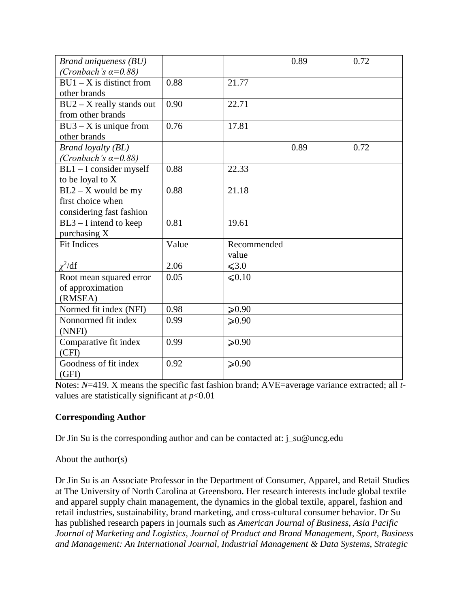| Brand uniqueness (BU)<br>(Cronbach's $\alpha=0.88$ )                   |       |                      | 0.89 | 0.72 |
|------------------------------------------------------------------------|-------|----------------------|------|------|
| $BU1 - X$ is distinct from<br>other brands                             | 0.88  | 21.77                |      |      |
| $BU2 - X$ really stands out<br>from other brands                       | 0.90  | 22.71                |      |      |
| $BU3 - X$ is unique from<br>other brands                               | 0.76  | 17.81                |      |      |
| <b>Brand loyalty (BL)</b><br>(Cronbach's $\alpha=0.88$ )               |       |                      | 0.89 | 0.72 |
| $BL1 - I$ consider myself<br>to be loyal to X                          | 0.88  | 22.33                |      |      |
| $BL2 - X$ would be my<br>first choice when<br>considering fast fashion | 0.88  | 21.18                |      |      |
| $BL3 - I$ intend to keep<br>purchasing X                               | 0.81  | 19.61                |      |      |
| <b>Fit Indices</b>                                                     | Value | Recommended<br>value |      |      |
| $\chi^2/\mathrm{df}$                                                   | 2.06  | $\leq 3.0$           |      |      |
| Root mean squared error<br>of approximation<br>(RMSEA)                 | 0.05  | $\leq 0.10$          |      |      |
| Normed fit index (NFI)                                                 | 0.98  | $≥ 0.90$             |      |      |
| Nonnormed fit index<br>(NNFI)                                          | 0.99  | $≥ 0.90$             |      |      |
| Comparative fit index<br>(CFI)                                         | 0.99  | $≥0.90$              |      |      |
| Goodness of fit index<br>(GFI)                                         | 0.92  | $≥ 0.90$             |      |      |

Notes: *N*=419. X means the specific fast fashion brand; AVE=average variance extracted; all *t*values are statistically significant at  $p<0.01$ 

## **Corresponding Author**

Dr Jin Su is the corresponding author and can be contacted at: j\_su@uncg.edu

About the author(s)

Dr Jin Su is an Associate Professor in the Department of Consumer, Apparel, and Retail Studies at The University of North Carolina at Greensboro. Her research interests include global textile and apparel supply chain management, the dynamics in the global textile, apparel, fashion and retail industries, sustainability, brand marketing, and cross-cultural consumer behavior. Dr Su has published research papers in journals such as *American Journal of Business*, *Asia Pacific Journal of Marketing and Logistics*, *Journal of Product and Brand Management*, *Sport, Business and Management: An International Journal, Industrial Management & Data Systems*, *Strategic*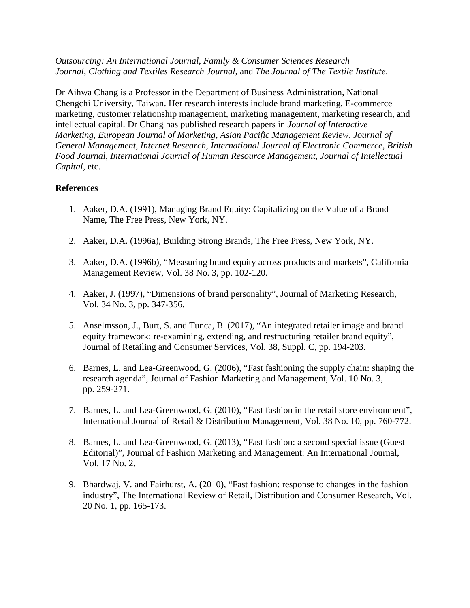*Outsourcing: An International Journal*, *Family & Consumer Sciences Research Journal*, *Clothing and Textiles Research Journal*, and *The Journal of The Textile Institute*.

Dr Aihwa Chang is a Professor in the Department of Business Administration, National Chengchi University, Taiwan. Her research interests include brand marketing, E-commerce marketing, customer relationship management, marketing management, marketing research, and intellectual capital. Dr Chang has published research papers in *Journal of Interactive Marketing*, *European Journal of Marketing*, *Asian Pacific Management Review*, *Journal of General Management*, *Internet Research*, *International Journal of Electronic Commerce*, *British Food Journal*, *International Journal of Human Resource Management*, *Journal of Intellectual Capital*, etc.

### **References**

- 1. Aaker, D.A. (1991), Managing Brand Equity: Capitalizing on the Value of a Brand Name, The Free Press, New York, NY.
- 2. Aaker, D.A. (1996a), Building Strong Brands, The Free Press, New York, NY.
- 3. Aaker, D.A. (1996b), "Measuring brand equity across products and markets", California Management Review, Vol. 38 No. 3, pp. 102-120.
- 4. Aaker, J. (1997), "Dimensions of brand personality", Journal of Marketing Research, Vol. 34 No. 3, pp. 347-356.
- 5. Anselmsson, J., Burt, S. and Tunca, B. (2017), "An integrated retailer image and brand equity framework: re-examining, extending, and restructuring retailer brand equity", Journal of Retailing and Consumer Services, Vol. 38, Suppl. C, pp. 194-203.
- 6. Barnes, L. and Lea-Greenwood, G. (2006), "Fast fashioning the supply chain: shaping the research agenda", Journal of Fashion Marketing and Management, Vol. 10 No. 3, pp. 259-271.
- 7. Barnes, L. and Lea-Greenwood, G. (2010), "Fast fashion in the retail store environment", International Journal of Retail & Distribution Management, Vol. 38 No. 10, pp. 760-772.
- 8. Barnes, L. and Lea-Greenwood, G. (2013), "Fast fashion: a second special issue (Guest Editorial)", Journal of Fashion Marketing and Management: An International Journal, Vol. 17 No. 2.
- 9. Bhardwaj, V. and Fairhurst, A. (2010), "Fast fashion: response to changes in the fashion industry", The International Review of Retail, Distribution and Consumer Research, Vol. 20 No. 1, pp. 165-173.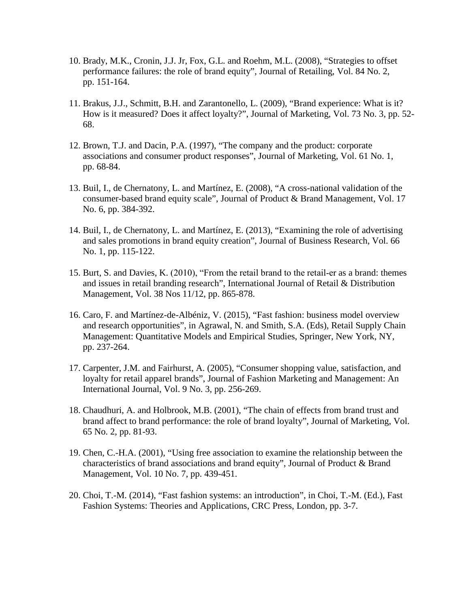- 10. Brady, M.K., Cronin, J.J. Jr, Fox, G.L. and Roehm, M.L. (2008), "Strategies to offset performance failures: the role of brand equity", Journal of Retailing, Vol. 84 No. 2, pp. 151-164.
- 11. Brakus, J.J., Schmitt, B.H. and Zarantonello, L. (2009), "Brand experience: What is it? How is it measured? Does it affect loyalty?", Journal of Marketing, Vol. 73 No. 3, pp. 52- 68.
- 12. Brown, T.J. and Dacin, P.A. (1997), "The company and the product: corporate associations and consumer product responses", Journal of Marketing, Vol. 61 No. 1, pp. 68-84.
- 13. Buil, I., de Chernatony, L. and Martínez, E. (2008), "A cross-national validation of the consumer-based brand equity scale", Journal of Product & Brand Management, Vol. 17 No. 6, pp. 384-392.
- 14. Buil, I., de Chernatony, L. and Martínez, E. (2013), "Examining the role of advertising and sales promotions in brand equity creation", Journal of Business Research, Vol. 66 No. 1, pp. 115-122.
- 15. Burt, S. and Davies, K. (2010), "From the retail brand to the retail‐er as a brand: themes and issues in retail branding research", International Journal of Retail & Distribution Management, Vol. 38 Nos 11/12, pp. 865-878.
- 16. Caro, F. and Martínez-de-Albéniz, V. (2015), "Fast fashion: business model overview and research opportunities", in Agrawal, N. and Smith, S.A. (Eds), Retail Supply Chain Management: Quantitative Models and Empirical Studies, Springer, New York, NY, pp. 237-264.
- 17. Carpenter, J.M. and Fairhurst, A. (2005), "Consumer shopping value, satisfaction, and loyalty for retail apparel brands", Journal of Fashion Marketing and Management: An International Journal, Vol. 9 No. 3, pp. 256-269.
- 18. Chaudhuri, A. and Holbrook, M.B. (2001), "The chain of effects from brand trust and brand affect to brand performance: the role of brand loyalty", Journal of Marketing, Vol. 65 No. 2, pp. 81-93.
- 19. Chen, C.-H.A. (2001), "Using free association to examine the relationship between the characteristics of brand associations and brand equity", Journal of Product & Brand Management, Vol. 10 No. 7, pp. 439-451.
- 20. Choi, T.-M. (2014), "Fast fashion systems: an introduction", in Choi, T.-M. (Ed.), Fast Fashion Systems: Theories and Applications, CRC Press, London, pp. 3-7.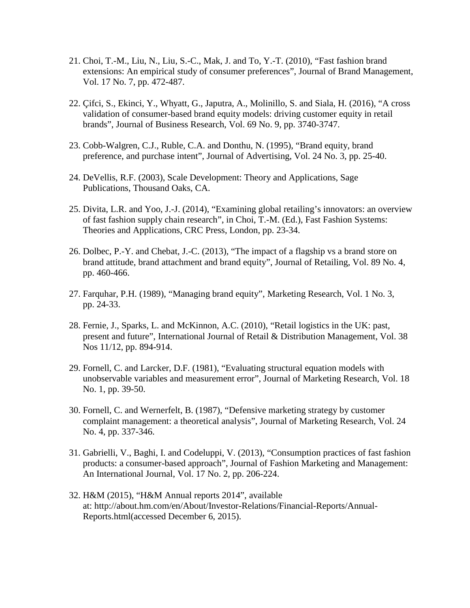- 21. Choi, T.-M., Liu, N., Liu, S.-C., Mak, J. and To, Y.-T. (2010), "Fast fashion brand extensions: An empirical study of consumer preferences", Journal of Brand Management, Vol. 17 No. 7, pp. 472-487.
- 22. Çifci, S., Ekinci, Y., Whyatt, G., Japutra, A., Molinillo, S. and Siala, H. (2016), "A cross validation of consumer-based brand equity models: driving customer equity in retail brands", Journal of Business Research, Vol. 69 No. 9, pp. 3740-3747.
- 23. Cobb-Walgren, C.J., Ruble, C.A. and Donthu, N. (1995), "Brand equity, brand preference, and purchase intent", Journal of Advertising, Vol. 24 No. 3, pp. 25-40.
- 24. DeVellis, R.F. (2003), Scale Development: Theory and Applications, Sage Publications, Thousand Oaks, CA.
- 25. Divita, L.R. and Yoo, J.-J. (2014), "Examining global retailing's innovators: an overview of fast fashion supply chain research", in Choi, T.-M. (Ed.), Fast Fashion Systems: Theories and Applications, CRC Press, London, pp. 23-34.
- 26. Dolbec, P.-Y. and Chebat, J.-C. (2013), "The impact of a flagship vs a brand store on brand attitude, brand attachment and brand equity", Journal of Retailing, Vol. 89 No. 4, pp. 460-466.
- 27. Farquhar, P.H. (1989), "Managing brand equity", Marketing Research, Vol. 1 No. 3, pp. 24-33.
- 28. Fernie, J., Sparks, L. and McKinnon, A.C. (2010), "Retail logistics in the UK: past, present and future", International Journal of Retail & Distribution Management, Vol. 38 Nos 11/12, pp. 894-914.
- 29. Fornell, C. and Larcker, D.F. (1981), "Evaluating structural equation models with unobservable variables and measurement error", Journal of Marketing Research, Vol. 18 No. 1, pp. 39-50.
- 30. Fornell, C. and Wernerfelt, B. (1987), "Defensive marketing strategy by customer complaint management: a theoretical analysis", Journal of Marketing Research, Vol. 24 No. 4, pp. 337-346.
- 31. Gabrielli, V., Baghi, I. and Codeluppi, V. (2013), "Consumption practices of fast fashion products: a consumer-based approach", Journal of Fashion Marketing and Management: An International Journal, Vol. 17 No. 2, pp. 206-224.
- 32. H&M (2015), "H&M Annual reports 2014", available at: http://about.hm.com/en/About/Investor-Relations/Financial-Reports/Annual-Reports.html(accessed December 6, 2015).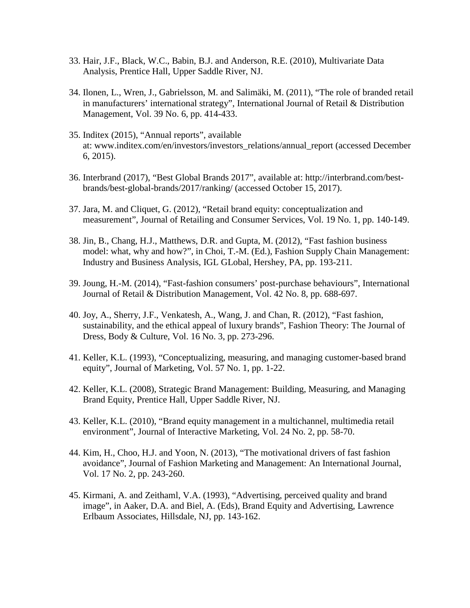- 33. Hair, J.F., Black, W.C., Babin, B.J. and Anderson, R.E. (2010), Multivariate Data Analysis, Prentice Hall, Upper Saddle River, NJ.
- 34. Ilonen, L., Wren, J., Gabrielsson, M. and Salimäki, M. (2011), "The role of branded retail in manufacturers' international strategy", International Journal of Retail & Distribution Management, Vol. 39 No. 6, pp. 414-433.
- 35. Inditex (2015), "Annual reports", available at: www.inditex.com/en/investors/investors\_relations/annual\_report (accessed December 6, 2015).
- 36. Interbrand (2017), "Best Global Brands 2017", available at: http://interbrand.com/bestbrands/best-global-brands/2017/ranking/ (accessed October 15, 2017).
- 37. Jara, M. and Cliquet, G. (2012), "Retail brand equity: conceptualization and measurement", Journal of Retailing and Consumer Services, Vol. 19 No. 1, pp. 140-149.
- 38. Jin, B., Chang, H.J., Matthews, D.R. and Gupta, M. (2012), "Fast fashion business model: what, why and how?", in Choi, T.-M. (Ed.), Fashion Supply Chain Management: Industry and Business Analysis, IGL GLobal, Hershey, PA, pp. 193-211.
- 39. Joung, H.-M. (2014), "Fast-fashion consumers' post-purchase behaviours", International Journal of Retail & Distribution Management, Vol. 42 No. 8, pp. 688-697.
- 40. Joy, A., Sherry, J.F., Venkatesh, A., Wang, J. and Chan, R. (2012), "Fast fashion, sustainability, and the ethical appeal of luxury brands", Fashion Theory: The Journal of Dress, Body & Culture, Vol. 16 No. 3, pp. 273-296.
- 41. Keller, K.L. (1993), "Conceptualizing, measuring, and managing customer-based brand equity", Journal of Marketing, Vol. 57 No. 1, pp. 1-22.
- 42. Keller, K.L. (2008), Strategic Brand Management: Building, Measuring, and Managing Brand Equity, Prentice Hall, Upper Saddle River, NJ.
- 43. Keller, K.L. (2010), "Brand equity management in a multichannel, multimedia retail environment", Journal of Interactive Marketing, Vol. 24 No. 2, pp. 58-70.
- 44. Kim, H., Choo, H.J. and Yoon, N. (2013), "The motivational drivers of fast fashion avoidance", Journal of Fashion Marketing and Management: An International Journal, Vol. 17 No. 2, pp. 243-260.
- 45. Kirmani, A. and Zeithaml, V.A. (1993), "Advertising, perceived quality and brand image", in Aaker, D.A. and Biel, A. (Eds), Brand Equity and Advertising, Lawrence Erlbaum Associates, Hillsdale, NJ, pp. 143-162.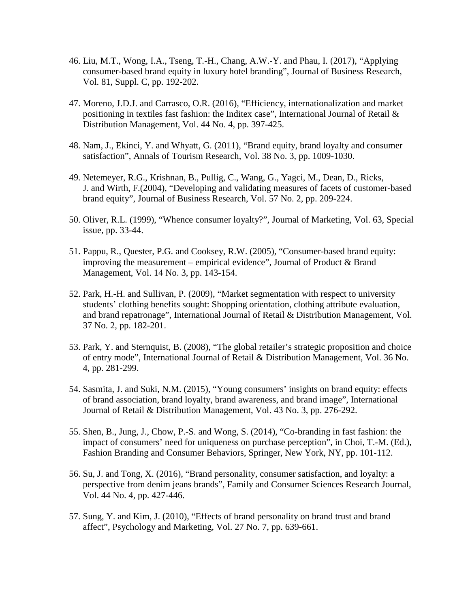- 46. Liu, M.T., Wong, I.A., Tseng, T.-H., Chang, A.W.-Y. and Phau, I. (2017), "Applying consumer-based brand equity in luxury hotel branding", Journal of Business Research, Vol. 81, Suppl. C, pp. 192-202.
- 47. Moreno, J.D.J. and Carrasco, O.R. (2016), "Efficiency, internationalization and market positioning in textiles fast fashion: the Inditex case", International Journal of Retail & Distribution Management, Vol. 44 No. 4, pp. 397-425.
- 48. Nam, J., Ekinci, Y. and Whyatt, G. (2011), "Brand equity, brand loyalty and consumer satisfaction", Annals of Tourism Research, Vol. 38 No. 3, pp. 1009-1030.
- 49. Netemeyer, R.G., Krishnan, B., Pullig, C., Wang, G., Yagci, M., Dean, D., Ricks, J. and Wirth, F.(2004), "Developing and validating measures of facets of customer-based brand equity", Journal of Business Research, Vol. 57 No. 2, pp. 209-224.
- 50. Oliver, R.L. (1999), "Whence consumer loyalty?", Journal of Marketing, Vol. 63, Special issue, pp. 33-44.
- 51. Pappu, R., Quester, P.G. and Cooksey, R.W. (2005), "Consumer-based brand equity: improving the measurement – empirical evidence", Journal of Product & Brand Management, Vol. 14 No. 3, pp. 143-154.
- 52. Park, H.-H. and Sullivan, P. (2009), "Market segmentation with respect to university students' clothing benefits sought: Shopping orientation, clothing attribute evaluation, and brand repatronage", International Journal of Retail & Distribution Management, Vol. 37 No. 2, pp. 182-201.
- 53. Park, Y. and Sternquist, B. (2008), "The global retailer's strategic proposition and choice of entry mode", International Journal of Retail & Distribution Management, Vol. 36 No. 4, pp. 281-299.
- 54. Sasmita, J. and Suki, N.M. (2015), "Young consumers' insights on brand equity: effects of brand association, brand loyalty, brand awareness, and brand image", International Journal of Retail & Distribution Management, Vol. 43 No. 3, pp. 276-292.
- 55. Shen, B., Jung, J., Chow, P.-S. and Wong, S. (2014), "Co-branding in fast fashion: the impact of consumers' need for uniqueness on purchase perception", in Choi, T.-M. (Ed.), Fashion Branding and Consumer Behaviors, Springer, New York, NY, pp. 101-112.
- 56. Su, J. and Tong, X. (2016), "Brand personality, consumer satisfaction, and loyalty: a perspective from denim jeans brands", Family and Consumer Sciences Research Journal, Vol. 44 No. 4, pp. 427-446.
- 57. Sung, Y. and Kim, J. (2010), "Effects of brand personality on brand trust and brand affect", Psychology and Marketing, Vol. 27 No. 7, pp. 639-661.